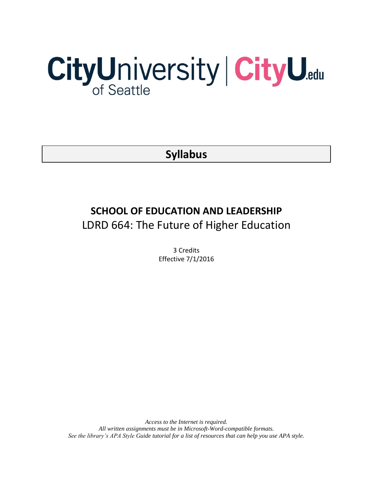# CityUniversity | CityU.edu

**Syllabus**

# **SCHOOL OF EDUCATION AND LEADERSHIP** LDRD 664: The Future of Higher Education

3 Credits Effective 7/1/2016

*Access to the Internet is required. All written assignments must be in Microsoft-Word-compatible formats. See the library's APA Style Guide tutorial for a list of resources that can help you use APA style.*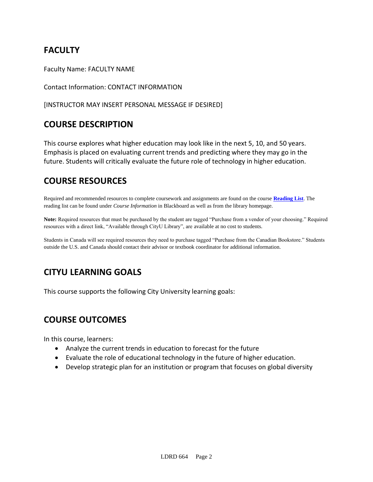# **FACULTY**

Faculty Name: FACULTY NAME

Contact Information: CONTACT INFORMATION

[INSTRUCTOR MAY INSERT PERSONAL MESSAGE IF DESIRED]

# **COURSE DESCRIPTION**

This course explores what higher education may look like in the next 5, 10, and 50 years. Emphasis is placed on evaluating current trends and predicting where they may go in the future. Students will critically evaluate the future role of technology in higher education.

# **COURSE RESOURCES**

Required and recommended resources to complete coursework and assignments are found on the course **[Reading List](https://nam03.safelinks.protection.outlook.com/?url=https%3A%2F%2Fcityu.alma.exlibrisgroup.com%2Fleganto%2Flogin%3Fauth%3DSAML&data=04%7C01%7CMMara%40cityu.edu%7C70673ce0fe0144040eda08d87472e204%7Cb3fa96d9f5154662add763d854e39e63%7C1%7C0%7C637387384066198115%7CUnknown%7CTWFpbGZsb3d8eyJWIjoiMC4wLjAwMDAiLCJQIjoiV2luMzIiLCJBTiI6Ik1haWwiLCJXVCI6Mn0%3D%7C1000&sdata=JbwP%2Fm5Q%2BMgIUWa%2FXceos%2BoiLv0DX%2B%2FL%2BNGNMbX9P8E%3D&reserved=0)**. The reading list can be found under *Course Information* in Blackboard as well as from the library homepage.

**Note:** Required resources that must be purchased by the student are tagged "Purchase from a vendor of your choosing." Required resources with a direct link, "Available through CityU Library", are available at no cost to students.

Students in Canada will see required resources they need to purchase tagged "Purchase from the Canadian Bookstore." Students outside the U.S. and Canada should contact their advisor or textbook coordinator for additional information.

# **CITYU LEARNING GOALS**

This course supports the following City University learning goals:

# **COURSE OUTCOMES**

In this course, learners:

- Analyze the current trends in education to forecast for the future
- Evaluate the role of educational technology in the future of higher education.
- Develop strategic plan for an institution or program that focuses on global diversity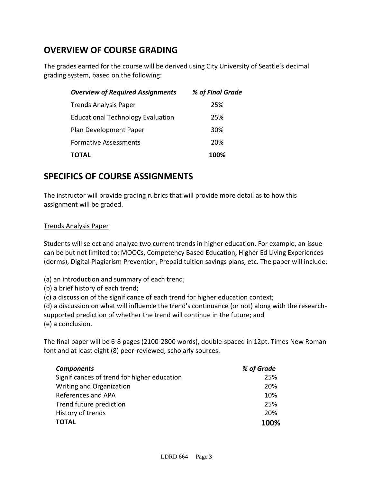# **OVERVIEW OF COURSE GRADING**

The grades earned for the course will be derived using City University of Seattle's decimal grading system, based on the following:

| <b>Overview of Required Assignments</b>  | % of Final Grade |
|------------------------------------------|------------------|
| <b>Trends Analysis Paper</b>             | 25%              |
| <b>Educational Technology Evaluation</b> | 25%              |
| Plan Development Paper                   | 30%              |
| <b>Formative Assessments</b>             | 20%              |
| TOTAL                                    | 100%             |

# **SPECIFICS OF COURSE ASSIGNMENTS**

The instructor will provide grading rubrics that will provide more detail as to how this assignment will be graded.

## Trends Analysis Paper

Students will select and analyze two current trends in higher education. For example, an issue can be but not limited to: MOOCs, Competency Based Education, Higher Ed Living Experiences (dorms), Digital Plagiarism Prevention, Prepaid tuition savings plans, etc. The paper will include:

(a) an introduction and summary of each trend;

(b) a brief history of each trend;

(c) a discussion of the significance of each trend for higher education context;

(d) a discussion on what will influence the trend's continuance (or not) along with the researchsupported prediction of whether the trend will continue in the future; and (e) a conclusion.

The final paper will be 6-8 pages (2100-2800 words), double-spaced in 12pt. Times New Roman font and at least eight (8) peer-reviewed, scholarly sources.

| <b>Components</b>                           | % of Grade |
|---------------------------------------------|------------|
| Significances of trend for higher education | 25%        |
| Writing and Organization                    | 20%        |
| References and APA                          | 10%        |
| Trend future prediction                     | 25%        |
| History of trends                           | 20%        |
| <b>TOTAL</b>                                | 100%       |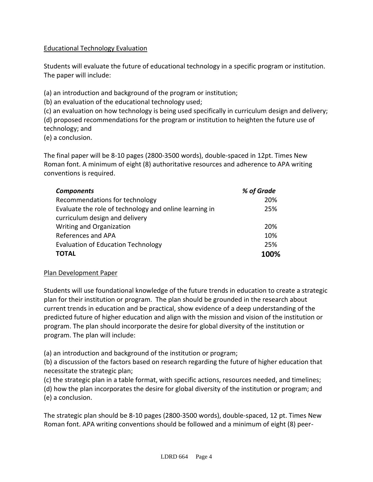## Educational Technology Evaluation

Students will evaluate the future of educational technology in a specific program or institution. The paper will include:

(a) an introduction and background of the program or institution;

(b) an evaluation of the educational technology used;

(c) an evaluation on how technology is being used specifically in curriculum design and delivery; (d) proposed recommendations for the program or institution to heighten the future use of technology; and

(e) a conclusion.

The final paper will be 8-10 pages (2800-3500 words), double-spaced in 12pt. Times New Roman font. A minimum of eight (8) authoritative resources and adherence to APA writing conventions is required.

| <b>Components</b>                                      | % of Grade |
|--------------------------------------------------------|------------|
| Recommendations for technology                         | 20%        |
| Evaluate the role of technology and online learning in | 25%        |
| curriculum design and delivery                         |            |
| Writing and Organization                               | 20%        |
| References and APA                                     | 10%        |
| <b>Evaluation of Education Technology</b>              | 25%        |
| <b>TOTAL</b>                                           | 100%       |

## Plan Development Paper

Students will use foundational knowledge of the future trends in education to create a strategic plan for their institution or program. The plan should be grounded in the research about current trends in education and be practical, show evidence of a deep understanding of the predicted future of higher education and align with the mission and vision of the institution or program. The plan should incorporate the desire for global diversity of the institution or program. The plan will include:

(a) an introduction and background of the institution or program;

(b) a discussion of the factors based on research regarding the future of higher education that necessitate the strategic plan;

(c) the strategic plan in a table format, with specific actions, resources needed, and timelines;

(d) how the plan incorporates the desire for global diversity of the institution or program; and (e) a conclusion.

The strategic plan should be 8-10 pages (2800-3500 words), double-spaced, 12 pt. Times New Roman font. APA writing conventions should be followed and a minimum of eight (8) peer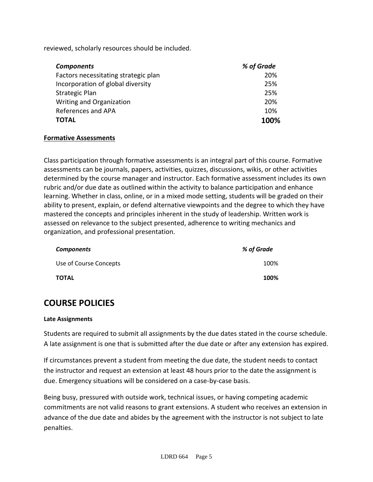reviewed, scholarly resources should be included.

| <b>Components</b>                    | % of Grade |
|--------------------------------------|------------|
| Factors necessitating strategic plan | 20%        |
| Incorporation of global diversity    | 25%        |
| <b>Strategic Plan</b>                | 25%        |
| Writing and Organization             | 20%        |
| References and APA                   | 10%        |
| <b>TOTAL</b>                         | 100%       |

## **Formative Assessments**

Class participation through formative assessments is an integral part of this course. Formative assessments can be journals, papers, activities, quizzes, discussions, wikis, or other activities determined by the course manager and instructor. Each formative assessment includes its own rubric and/or due date as outlined within the activity to balance participation and enhance learning. Whether in class, online, or in a mixed mode setting, students will be graded on their ability to present, explain, or defend alternative viewpoints and the degree to which they have mastered the concepts and principles inherent in the study of leadership. Written work is assessed on relevance to the subject presented, adherence to writing mechanics and organization, and professional presentation.

| <b>Components</b>      | % of Grade |
|------------------------|------------|
| Use of Course Concepts | 100%       |
| <b>TOTAL</b>           | 100%       |

# **COURSE POLICIES**

## **Late Assignments**

Students are required to submit all assignments by the due dates stated in the course schedule. A late assignment is one that is submitted after the due date or after any extension has expired.

If circumstances prevent a student from meeting the due date, the student needs to contact the instructor and request an extension at least 48 hours prior to the date the assignment is due. Emergency situations will be considered on a case-by-case basis.

Being busy, pressured with outside work, technical issues, or having competing academic commitments are not valid reasons to grant extensions. A student who receives an extension in advance of the due date and abides by the agreement with the instructor is not subject to late penalties.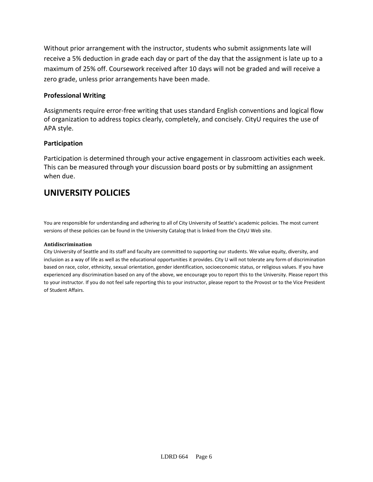Without prior arrangement with the instructor, students who submit assignments late will receive a 5% deduction in grade each day or part of the day that the assignment is late up to a maximum of 25% off. Coursework received after 10 days will not be graded and will receive a zero grade, unless prior arrangements have been made.

## **Professional Writing**

Assignments require error-free writing that uses standard English conventions and logical flow of organization to address topics clearly, completely, and concisely. CityU requires the use of APA style.

## **Participation**

Participation is determined through your active engagement in classroom activities each week. This can be measured through your discussion board posts or by submitting an assignment when due.

## **UNIVERSITY POLICIES**

You are responsible for understanding and adhering to all of City University of Seattle's academic policies. The most current versions of these policies can be found in the University Catalog that is linked from the CityU Web site.

### **Antidiscrimination**

City University of Seattle and its staff and faculty are committed to supporting our students. We value equity, diversity, and inclusion as a way of life as well as the educational opportunities it provides. City U will not tolerate any form of discrimination based on race, color, ethnicity, sexual orientation, gender identification, socioeconomic status, or religious values. If you have experienced any discrimination based on any of the above, we encourage you to report this to the University. Please report this to your instructor. If you do not feel safe reporting this to your instructor, please report to the Provost or to the Vice President of Student Affairs.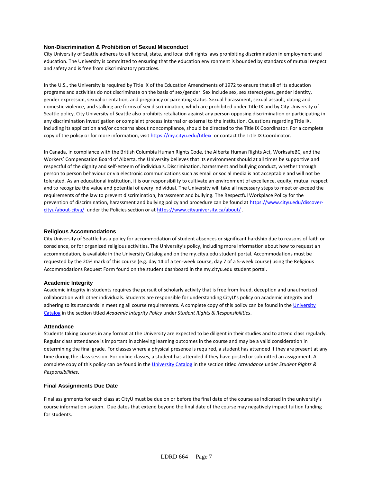#### **Non-Discrimination & Prohibition of Sexual Misconduct**

City University of Seattle adheres to all federal, state, and local civil rights laws prohibiting discrimination in employment and education. The University is committed to ensuring that the education environment is bounded by standards of mutual respect and safety and is free from discriminatory practices.

In the U.S., the University is required by Title IX of the Education Amendments of 1972 to ensure that all of its education programs and activities do not discriminate on the basis of sex/gender. Sex include sex, sex stereotypes, gender identity, gender expression, sexual orientation, and pregnancy or parenting status. Sexual harassment, sexual assault, dating and domestic violence, and stalking are forms of sex discrimination, which are prohibited under Title IX and by City University of Seattle policy. City University of Seattle also prohibits retaliation against any person opposing discrimination or participating in any discrimination investigation or complaint process internal or external to the institution. Questions regarding Title IX, including its application and/or concerns about noncompliance, should be directed to the Title IX Coordinator. For a complete copy of the policy or for more information, visi[t https://my.cityu.edu/titleix](https://my.cityu.edu/titleix) or contact the Title IX Coordinator.

In Canada, in compliance with the British Columbia Human Rights Code, the Alberta Human Rights Act, WorksafeBC, and the Workers' Compensation Board of Alberta, the University believes that its environment should at all times be supportive and respectful of the dignity and self-esteem of individuals. Discrimination, harassment and bullying conduct, whether through person to person behaviour or via electronic communications such as email or social media is not acceptable and will not be tolerated. As an educational institution, it is our responsibility to cultivate an environment of excellence, equity, mutual respect and to recognize the value and potential of every individual. The University will take all necessary steps to meet or exceed the requirements of the law to prevent discrimination, harassment and bullying. The Respectful Workplace Policy for the prevention of discrimination, harassment and bullying policy and procedure can be found at [https://www.cityu.edu/discover](https://www.cityu.edu/discover-cityu/about-cityu/)[cityu/about-cityu/](https://www.cityu.edu/discover-cityu/about-cityu/) under the Policies section or at<https://www.cityuniversity.ca/about/> .

#### **Religious Accommodations**

City University of Seattle has a policy for accommodation of student absences or significant hardship due to reasons of faith or conscience, or for organized religious activities. The University's policy, including more information about how to request an accommodation, is available in the University Catalog and on the my.cityu.edu student portal. Accommodations must be requested by the 20% mark of this course (e.g. day 14 of a ten-week course, day 7 of a 5-week course) using the Religious Accommodations Request Form found on the student dashboard in the my.cityu.edu student portal.

#### **Academic Integrity**

Academic integrity in students requires the pursuit of scholarly activity that is free from fraud, deception and unauthorized collaboration with other individuals. Students are responsible for understanding CityU's policy on academic integrity and adhering to its standards in meeting all course requirements. A complete copy of this policy can be found in th[e University](http://www.cityu.edu/catalog/) [Catalog](http://www.cityu.edu/catalog/) in the section titled *Academic Integrity Policy* under *Student Rights & Responsibilities*.

#### **Attendance**

Students taking courses in any format at the University are expected to be diligent in their studies and to attend class regularly. Regular class attendance is important in achieving learning outcomes in the course and may be a valid consideration in determining the final grade. For classes where a physical presence is required, a student has attended if they are present at any time during the class session. For online classes, a student has attended if they have posted or submitted an assignment. A complete copy of this policy can be found in th[e University Catalog](http://www.cityu.edu/catalog/) in the section titled *Attendance* under *Student Rights & Responsibilities*.

#### **Final Assignments Due Date**

Final assignments for each class at CityU must be due on or before the final date of the course as indicated in the university's course information system. Due dates that extend beyond the final date of the course may negatively impact tuition funding for students.